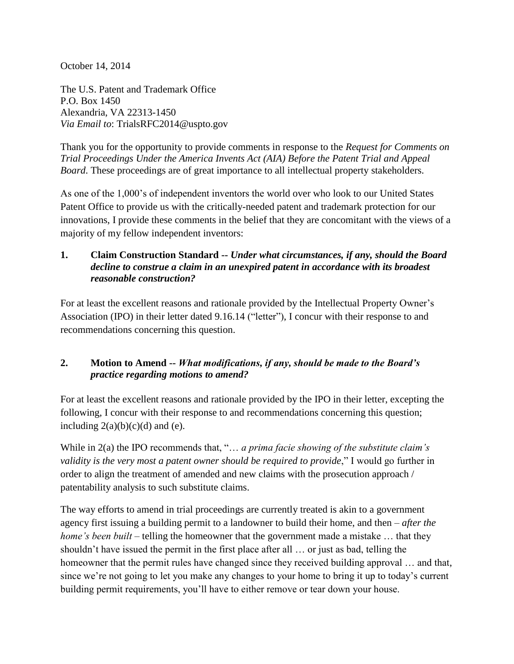October 14, 2014

The U.S. Patent and Trademark Office P.O. Box 1450 Alexandria, VA 22313-1450 *Via Email to*: TrialsRFC2014@uspto.gov

Thank you for the opportunity to provide comments in response to the *Request for Comments on Trial Proceedings Under the America Invents Act (AIA) Before the Patent Trial and Appeal Board*. These proceedings are of great importance to all intellectual property stakeholders.

As one of the 1,000's of independent inventors the world over who look to our United States Patent Office to provide us with the critically-needed patent and trademark protection for our innovations, I provide these comments in the belief that they are concomitant with the views of a majority of my fellow independent inventors:

### **1. Claim Construction Standard --** *Under what circumstances, if any, should the Board decline to construe a claim in an unexpired patent in accordance with its broadest reasonable construction?*

For at least the excellent reasons and rationale provided by the Intellectual Property Owner's Association (IPO) in their letter dated 9.16.14 ("letter"), I concur with their response to and recommendations concerning this question.

## **2. Motion to Amend --** *What modifications, if any, should be made to the Board's practice regarding motions to amend?*

For at least the excellent reasons and rationale provided by the IPO in their letter, excepting the following, I concur with their response to and recommendations concerning this question; including  $2(a)(b)(c)(d)$  and (e).

While in 2(a) the IPO recommends that, "… *a prima facie showing of the substitute claim's validity is the very most a patent owner should be required to provide*," I would go further in order to align the treatment of amended and new claims with the prosecution approach / patentability analysis to such substitute claims.

The way efforts to amend in trial proceedings are currently treated is akin to a government agency first issuing a building permit to a landowner to build their home, and then – *after the home's been built* – telling the homeowner that the government made a mistake ... that they shouldn't have issued the permit in the first place after all … or just as bad, telling the homeowner that the permit rules have changed since they received building approval ... and that, since we're not going to let you make any changes to your home to bring it up to today's current building permit requirements, you'll have to either remove or tear down your house.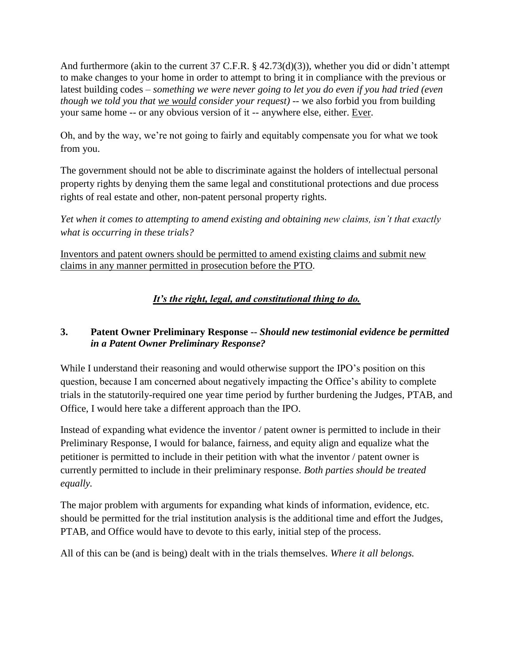And furthermore (akin to the current 37 C.F.R.  $\S$  42.73(d)(3)), whether you did or didn't attempt to make changes to your home in order to attempt to bring it in compliance with the previous or latest building codes – *something we were never going to let you do even if you had tried (even though we told you that we would consider your request)* -- we also forbid you from building your same home -- or any obvious version of it -- anywhere else, either. Ever.

Oh, and by the way, we're not going to fairly and equitably compensate you for what we took from you.

The government should not be able to discriminate against the holders of intellectual personal property rights by denying them the same legal and constitutional protections and due process rights of real estate and other, non-patent personal property rights.

*Yet when it comes to attempting to amend existing and obtaining new claims, isn't that exactly what is occurring in these trials?*

Inventors and patent owners should be permitted to amend existing claims and submit new claims in any manner permitted in prosecution before the PTO.

*It's the right, legal, and constitutional thing to do.*

# **3. Patent Owner Preliminary Response --** *Should new testimonial evidence be permitted in a Patent Owner Preliminary Response?*

While I understand their reasoning and would otherwise support the IPO's position on this question, because I am concerned about negatively impacting the Office's ability to complete trials in the statutorily-required one year time period by further burdening the Judges, PTAB, and Office, I would here take a different approach than the IPO.

Instead of expanding what evidence the inventor / patent owner is permitted to include in their Preliminary Response, I would for balance, fairness, and equity align and equalize what the petitioner is permitted to include in their petition with what the inventor / patent owner is currently permitted to include in their preliminary response. *Both parties should be treated equally.*

The major problem with arguments for expanding what kinds of information, evidence, etc. should be permitted for the trial institution analysis is the additional time and effort the Judges, PTAB, and Office would have to devote to this early, initial step of the process.

All of this can be (and is being) dealt with in the trials themselves. *Where it all belongs.*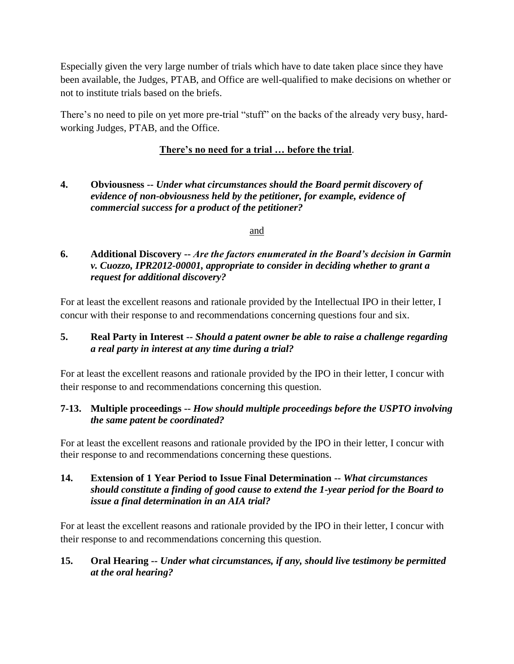Especially given the very large number of trials which have to date taken place since they have been available, the Judges, PTAB, and Office are well-qualified to make decisions on whether or not to institute trials based on the briefs.

There's no need to pile on yet more pre-trial "stuff" on the backs of the already very busy, hardworking Judges, PTAB, and the Office.

## **There's no need for a trial … before the trial**.

### **4. Obviousness --** *Under what circumstances should the Board permit discovery of evidence of non-obviousness held by the petitioner, for example, evidence of commercial success for a product of the petitioner?*

#### and

## **6. Additional Discovery --** *Are the factors enumerated in the Board's decision in Garmin v. Cuozzo, IPR2012-00001, appropriate to consider in deciding whether to grant a request for additional discovery?*

For at least the excellent reasons and rationale provided by the Intellectual IPO in their letter, I concur with their response to and recommendations concerning questions four and six.

## **5. Real Party in Interest --** *Should a patent owner be able to raise a challenge regarding a real party in interest at any time during a trial?*

For at least the excellent reasons and rationale provided by the IPO in their letter, I concur with their response to and recommendations concerning this question.

## **7-13. Multiple proceedings --** *How should multiple proceedings before the USPTO involving the same patent be coordinated?*

For at least the excellent reasons and rationale provided by the IPO in their letter, I concur with their response to and recommendations concerning these questions.

#### **14. Extension of 1 Year Period to Issue Final Determination --** *What circumstances should constitute a finding of good cause to extend the 1-year period for the Board to issue a final determination in an AIA trial?*

For at least the excellent reasons and rationale provided by the IPO in their letter, I concur with their response to and recommendations concerning this question.

## **15. Oral Hearing --** *Under what circumstances, if any, should live testimony be permitted at the oral hearing?*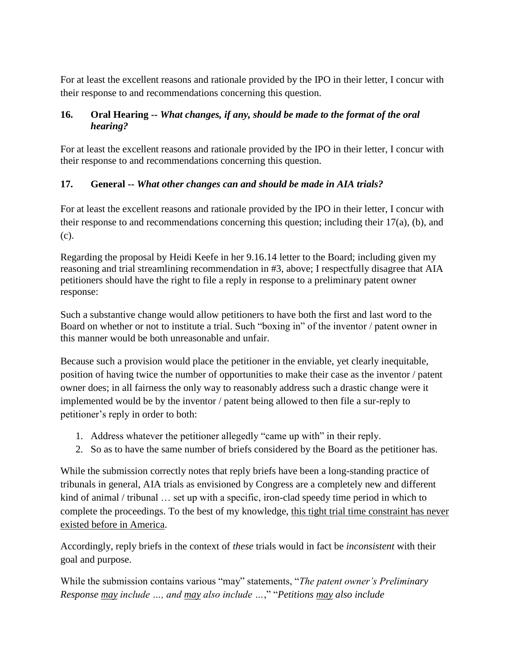For at least the excellent reasons and rationale provided by the IPO in their letter, I concur with their response to and recommendations concerning this question.

### **16. Oral Hearing --** *What changes, if any, should be made to the format of the oral hearing?*

For at least the excellent reasons and rationale provided by the IPO in their letter, I concur with their response to and recommendations concerning this question.

# **17. General --** *What other changes can and should be made in AIA trials?*

For at least the excellent reasons and rationale provided by the IPO in their letter, I concur with their response to and recommendations concerning this question; including their 17(a), (b), and (c).

Regarding the proposal by Heidi Keefe in her 9.16.14 letter to the Board; including given my reasoning and trial streamlining recommendation in #3, above; I respectfully disagree that AIA petitioners should have the right to file a reply in response to a preliminary patent owner response:

Such a substantive change would allow petitioners to have both the first and last word to the Board on whether or not to institute a trial. Such "boxing in" of the inventor / patent owner in this manner would be both unreasonable and unfair.

Because such a provision would place the petitioner in the enviable, yet clearly inequitable, position of having twice the number of opportunities to make their case as the inventor / patent owner does; in all fairness the only way to reasonably address such a drastic change were it implemented would be by the inventor / patent being allowed to then file a sur-reply to petitioner's reply in order to both:

- 1. Address whatever the petitioner allegedly "came up with" in their reply.
- 2. So as to have the same number of briefs considered by the Board as the petitioner has.

While the submission correctly notes that reply briefs have been a long-standing practice of tribunals in general, AIA trials as envisioned by Congress are a completely new and different kind of animal / tribunal … set up with a specific, iron-clad speedy time period in which to complete the proceedings. To the best of my knowledge, this tight trial time constraint has never existed before in America.

Accordingly, reply briefs in the context of *these* trials would in fact be *inconsistent* with their goal and purpose.

While the submission contains various "may" statements, "*The patent owner's Preliminary Response may include …, and may also include …*," "*Petitions may also include*